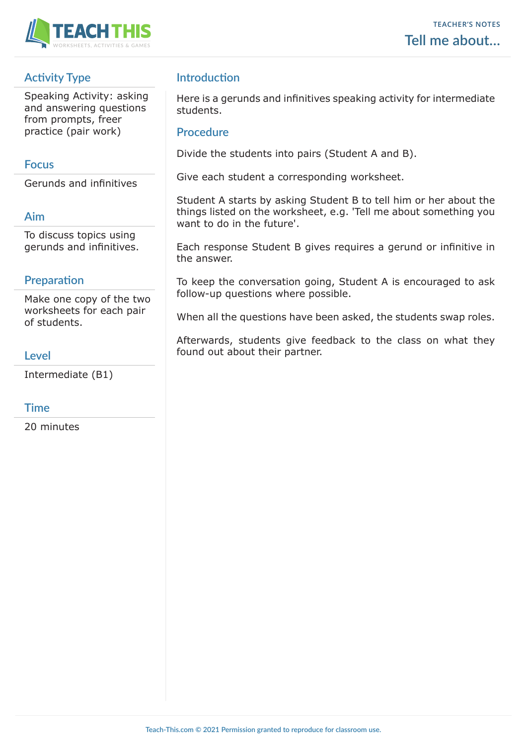

# **Activity Type**

Speaking Activity: asking and answering questions from prompts, freer practice (pair work)

# **Focus**

Gerunds and infinitives

# **Aim**

To discuss topics using gerunds and infinitives.

# **Preparation**

Make one copy of the two worksheets for each pair of students.

# **Level**

Intermediate (B1)

# **Time**

20 minutes

# **Introduction**

Here is a gerunds and infinitives speaking activity for intermediate students.

### **Procedure**

Divide the students into pairs (Student A and B).

Give each student a corresponding worksheet.

Student A starts by asking Student B to tell him or her about the things listed on the worksheet, e.g. 'Tell me about something you want to do in the future'.

Each response Student B gives requires a gerund or infinitive in the answer.

To keep the conversation going, Student A is encouraged to ask follow-up questions where possible.

When all the questions have been asked, the students swap roles.

Afterwards, students give feedback to the class on what they found out about their partner.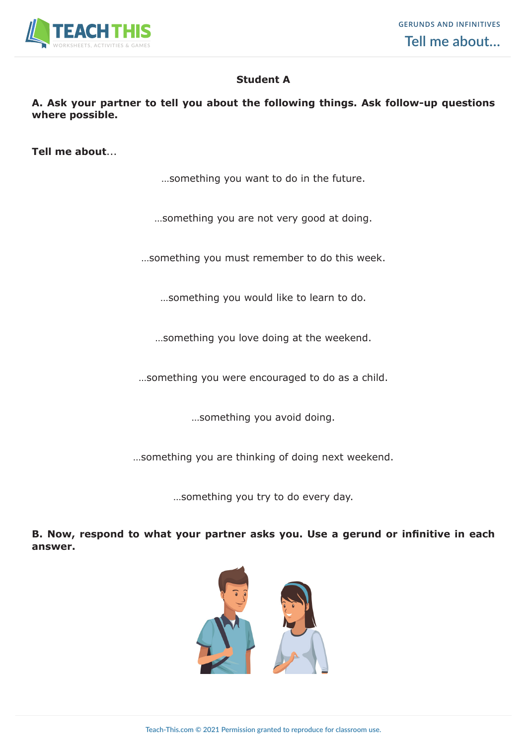

# **Student A**

#### **A. Ask your partner to tell you about the following things. Ask follow-up questions where possible.**

**Tell me about**...

…something you want to do in the future.

…something you are not very good at doing.

…something you must remember to do this week.

…something you would like to learn to do.

…something you love doing at the weekend.

…something you were encouraged to do as a child.

…something you avoid doing.

…something you are thinking of doing next weekend.

…something you try to do every day.

**B. Now, respond to what your partner asks you. Use a gerund or infinitive in each answer.**